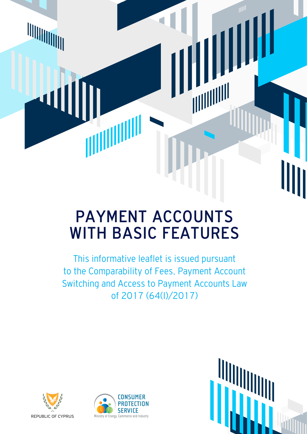# PAYMENT ACCOUNTS WITH BASIC FEATURES

This informative leaflet is issued pursuant to the Comparability of Fees, Payment Account Switching and Access to Payment Accounts Law of 2017 (64(Ι)/2017)





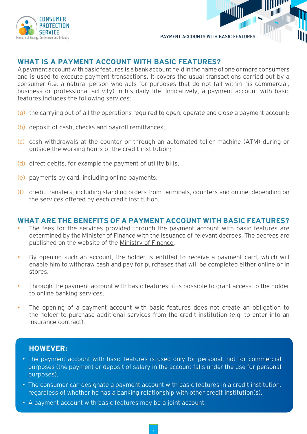

PAYMENT ACCOUNTS WITH BASIC FEATURES

## **WHAT IS A PAYMENT ACCOUNT WITH BASIC FEATURES?**

A payment account with basic features is a bank account held in the name of one or more consumers and is used to execute payment transactions. It covers the usual transactions carried out by a consumer (i.e. a natural person who acts for purposes that do not fall within his commercial, business or professional activity) in his daily life. Indicatively, a payment account with basic features includes the following services:

- (α) the carrying out of all the operations required to open, operate and close a payment account;
- (b) deposit of cash, checks and payroll remittances;
- (c) cash withdrawals at the counter or through an automated teller machine (ΑΤΜ) during or outside the working hours of the credit institution;
- (d) direct debits, for example the payment of utility bills;
- (e) payments by card, including online payments;
- (f) credit transfers, including standing orders from terminals, counters and online, depending on the services offered by each credit institution.

#### **WHAT ARE THE BENEFITS OF A PAYMENT ACCOUNT WITH BASIC FEATURES?**

- The fees for the services provided through the payment account with basic features are determined by the Minister of Finance with the issuance of relevant decrees. The decrees are published on the website of the [Ministry of Finance.](http://mof.gov.cy/gr/νομοθεσία/χρηματοοικονομικά-τραπεζικά)
- By opening such an account, the holder is entitled to receive a payment card, which will enable him to withdraw cash and pay for purchases that will be completed either online or in stores.
- Through the payment account with basic features, it is possible to grant access to the holder to online banking services.
- The opening of a payment account with basic features does not create an obligation to the holder to purchase additional services from the credit institution (e.g. to enter into an insurance contract).

#### **HOWEVER:**

- The payment account with basic features is used only for personal, not for commercial purposes (the payment or deposit of salary in the account falls under the use for personal purposes).
- The consumer can designate a payment account with basic features in a credit institution, regardless of whether he has a banking relationship with other credit institution(s).
- A payment account with basic features may be a joint account.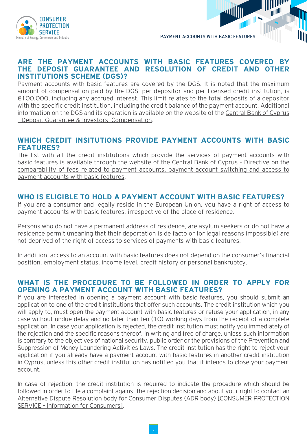

PAYMENT ACCOUNTS WITH BASIC FEATURES

#### **ARE THE PAYMENT ACCOUNTS WITH BASIC FEATURES COVERED BY THE DEPOSIT GUARANTEE AND RESOLUTION OF CREDIT AND OTHER INSTITUTIONS SCHEME (DGS)?**

Payment accounts with basic features are covered by the DGS. It is noted that the maximum amount of compensation paid by the DGS, per depositor and per licensed credit institution, is €100.000, including any accrued interest. This limit relates to the total deposits of a depositor with the specific credit institution, including the credit balance of the payment account. Additional information on the DGS and its operation is available on the website of the [Central Bank of Cyprus](https://www.centralbank.cy/el/deposit-guarantee-investors-compensation-schemes) [- Deposit Guarantee & Investors' Compensation.](https://www.centralbank.cy/el/deposit-guarantee-investors-compensation-schemes)

## **WHICH CREDIT INSITUTIONS PROVIDE PAYMENT ACCOUNTS WITH BASIC FEATURES?**

The list with all the credit institutions which provide the services of payment accounts with basic features is available through the website of the [Central Bank of Cyprus - Directive on the](https://www.centralbank.cy/el/deposit-guarantee-investors-compensation-schemes) [comparability of fees related to payment accounts, payment account switching and access to](https://www.centralbank.cy/el/deposit-guarantee-investors-compensation-schemes) [payment accounts with basic features.](https://www.centralbank.cy/el/deposit-guarantee-investors-compensation-schemes)

## **WHO IS ELIGIBLE TO HOLD A PAYMENT ACCOUNT WITH BASIC FEATURES?**

If you are a consumer and legally reside in the European Union, you have a right of access to payment accounts with basic features, irrespective of the place of residence.

Persons who do not have a permanent address of residence, are asylum seekers or do not have a residence permit (meaning that their deportation is de facto or for legal reasons impossible) are not deprived of the right of access to services of payments with basic features.

In addition, access to an account with basic features does not depend on the consumer's financial position, employment status, income level, credit history or personal bankruptcy.

## **WHAT IS THE PROCEDURE TO BE FOLLOWED IN ORDER TO APPLY FOR OPENING A PAYMENT ACCOUNT WITH BASIC FEATURES?**

If you are interested in opening a payment account with basic features, you should submit an application to one of the credit institutions that offer such accounts. The credit institution which you will apply to, must open the payment account with basic features or refuse your application, in any case without undue delay and no later than ten (10) working days from the receipt of a complete application. In case your application is rejected, the credit institution must notify you immediately of the rejection and the specific reasons thereof, in writing and free of charge, unless such information is contrary to the objectives of national security, public order or the provisions of the Prevention and Suppression of Money Laundering Activities Laws. The credit institution has the right to reject your application if you already have a payment account with basic features in another credit institution in Cyprus, unless this other credit institution has notified you that it intends to close your payment account.

In case of rejection, the credit institution is required to indicate the procedure which should be followed in order to file a complaint against the rejection decision and about your right to contact an Alternative Dispute Resolution body for Consumer Disputes (ADR body) [\[CONSUMER PROTECTION](http://www.consumer.gov.cy/) [SERVICE - Information for Consumers\].](http://www.consumer.gov.cy/)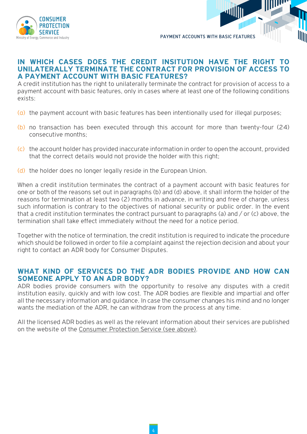

PAYMENT ACCOUNTS WITH BASIC FEATURES

## **IN WHICH CASES DOES THE CREDIT INSITUTION HAVE THE RIGHT TO UNILATERALLY TERMINATE THE CONTRACT FOR PROVISION OF ACCESS TO A PAYMENT ACCOUNT WITH BASIC FEATURES?**

A credit institution has the right to unilaterally terminate the contract for provision of access to a payment account with basic features, only in cases where at least one of the following conditions exists:

- $\alpha$ ) the payment account with basic features has been intentionally used for illegal purposes;
- (b) no transaction has been executed through this account for more than twenty-four (24) consecutive months;
- (c) the account holder has provided inaccurate information in order to open the account, provided that the correct details would not provide the holder with this right;
- (d) the holder does no longer legally reside in the European Union.

When a credit institution terminates the contract of a payment account with basic features for one or both of the reasons set out in paragraphs (b) and (d) above, it shall inform the holder of the reasons for termination at least two (2) months in advance, in writing and free of charge, unless such information is contrary to the objectives of national security or public order. In the event that a credit institution terminates the contract pursuant to paragraphs (a) and / or (c) above, the termination shall take effect immediately without the need for a notice period.

Together with the notice of termination, the credit institution is required to indicate the procedure which should be followed in order to file a complaint against the rejection decision and about your right to contact an ADR body for Consumer Disputes.

#### **WHAT KIND OF SERVICES DO THE ADR BODIES PROVIDE AND HOW CAN SOMEONE APPLY TO AN ADR BODY?**

ADR bodies provide consumers with the opportunity to resolve any disputes with a credit institution easily, quickly and with low cost. The ADR bodies are flexible and impartial and offer all the necessary information and guidance. In case the consumer changes his mind and no longer wants the mediation of the ADR, he can withdraw from the process at any time.

All the licensed ADR bodies as well as the relevant information about their services are published on the website of the [Consumer Protection Service \(see above\)](http://www.consumer.gov.cy/).